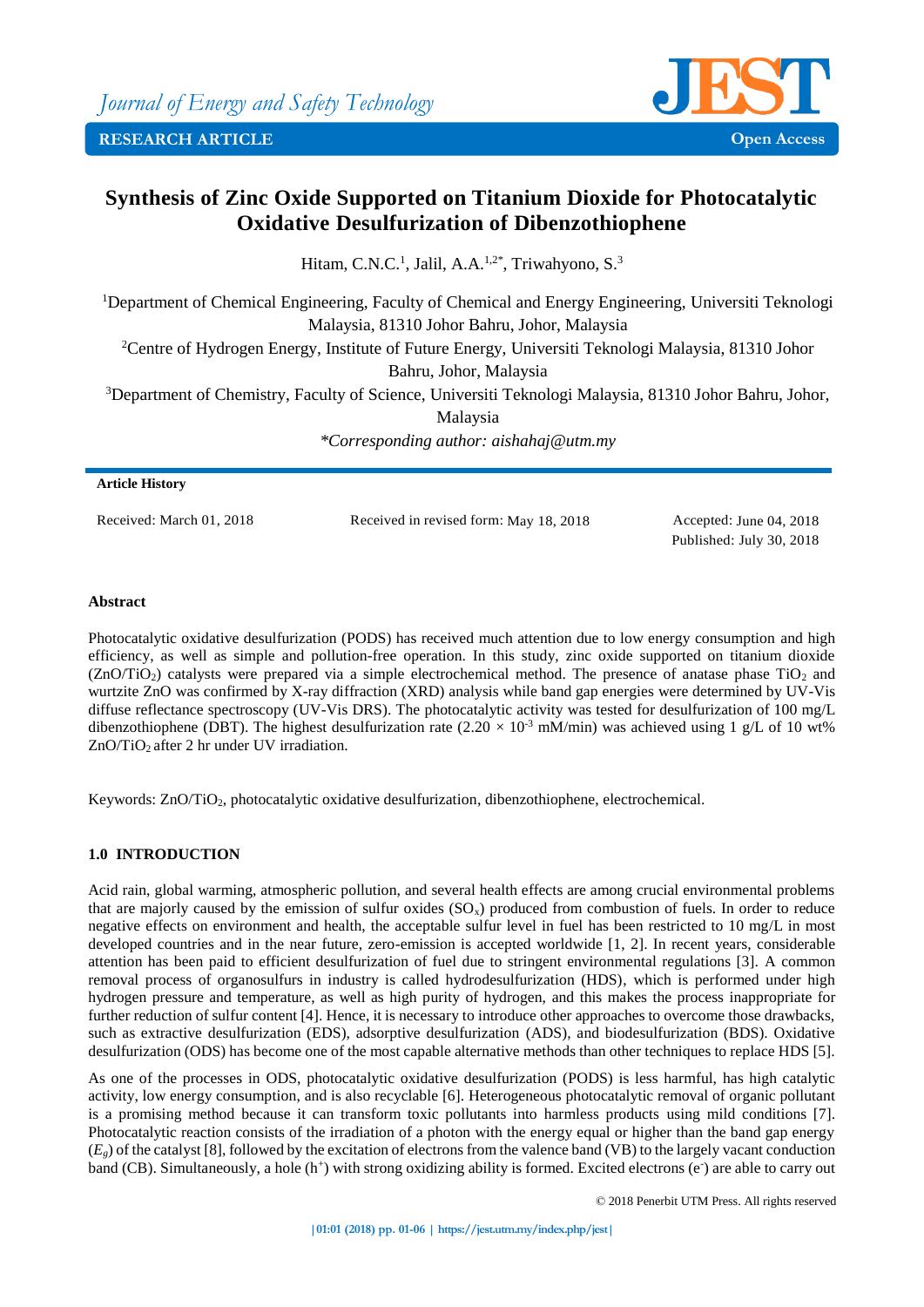

# **Synthesis of Zinc Oxide Supported on Titanium Dioxide for Photocatalytic Oxidative Desulfurization of Dibenzothiophene**

Hitam, C.N.C.<sup>1</sup>, Jalil, A.A.<sup>1,2\*</sup>, Triwahyono, S.<sup>3</sup>

<sup>1</sup>Department of Chemical Engineering, Faculty of Chemical and Energy Engineering, Universiti Teknologi Malaysia, 81310 Johor Bahru, Johor, Malaysia

<sup>2</sup>Centre of Hydrogen Energy, Institute of Future Energy, Universiti Teknologi Malaysia, 81310 Johor Bahru, Johor, Malaysia

<sup>3</sup>Department of Chemistry, Faculty of Science, Universiti Teknologi Malaysia, 81310 Johor Bahru, Johor,

Malaysia

*\*Corresponding author: aishahaj@utm.my*

# **Article History**

Received: March 01, 2018 Received in revised form: May 18, 2018 Accepted: June 04, 2018

Published: July 30, 2018

# **Abstract**

Photocatalytic oxidative desulfurization (PODS) has received much attention due to low energy consumption and high efficiency, as well as simple and pollution-free operation. In this study, zinc oxide supported on titanium dioxide  $(ZnO/TiO<sub>2</sub>)$  catalysts were prepared via a simple electrochemical method. The presence of anatase phase TiO<sub>2</sub> and wurtzite ZnO was confirmed by X-ray diffraction (XRD) analysis while band gap energies were determined by UV-Vis diffuse reflectance spectroscopy (UV-Vis DRS). The photocatalytic activity was tested for desulfurization of 100 mg/L dibenzothiophene (DBT). The highest desulfurization rate  $(2.20 \times 10^{-3} \text{ mM/min})$  was achieved using 1 g/L of 10 wt% ZnO/TiO<sub>2</sub> after 2 hr under UV irradiation.

Keywords: ZnO/TiO<sub>2</sub>, photocatalytic oxidative desulfurization, dibenzothiophene, electrochemical.

# **1.0 INTRODUCTION**

Acid rain, global warming, atmospheric pollution, and several health effects are among crucial environmental problems that are majorly caused by the emission of sulfur oxides  $(SO<sub>x</sub>)$  produced from combustion of fuels. In order to reduce negative effects on environment and health, the acceptable sulfur level in fuel has been restricted to 10 mg/L in most developed countries and in the near future, zero-emission is accepted worldwide [1, 2]. In recent years, considerable attention has been paid to efficient desulfurization of fuel due to stringent environmental regulations [3]. A common removal process of organosulfurs in industry is called hydrodesulfurization (HDS), which is performed under high hydrogen pressure and temperature, as well as high purity of hydrogen, and this makes the process inappropriate for further reduction of sulfur content [4]. Hence, it is necessary to introduce other approaches to overcome those drawbacks, such as extractive desulfurization (EDS), adsorptive desulfurization (ADS), and biodesulfurization (BDS). Oxidative desulfurization (ODS) has become one of the most capable alternative methods than other techniques to replace HDS [5].

As one of the processes in ODS, photocatalytic oxidative desulfurization (PODS) is less harmful, has high catalytic activity, low energy consumption, and is also recyclable [6]. Heterogeneous photocatalytic removal of organic pollutant is a promising method because it can transform toxic pollutants into harmless products using mild conditions [7]. Photocatalytic reaction consists of the irradiation of a photon with the energy equal or higher than the band gap energy (*Eg*) of the catalyst [8], followed by the excitation of electrons from the valence band (VB) to the largely vacant conduction band (CB). Simultaneously, a hole  $(h^+)$  with strong oxidizing ability is formed. Excited electrons  $(e)$  are able to carry out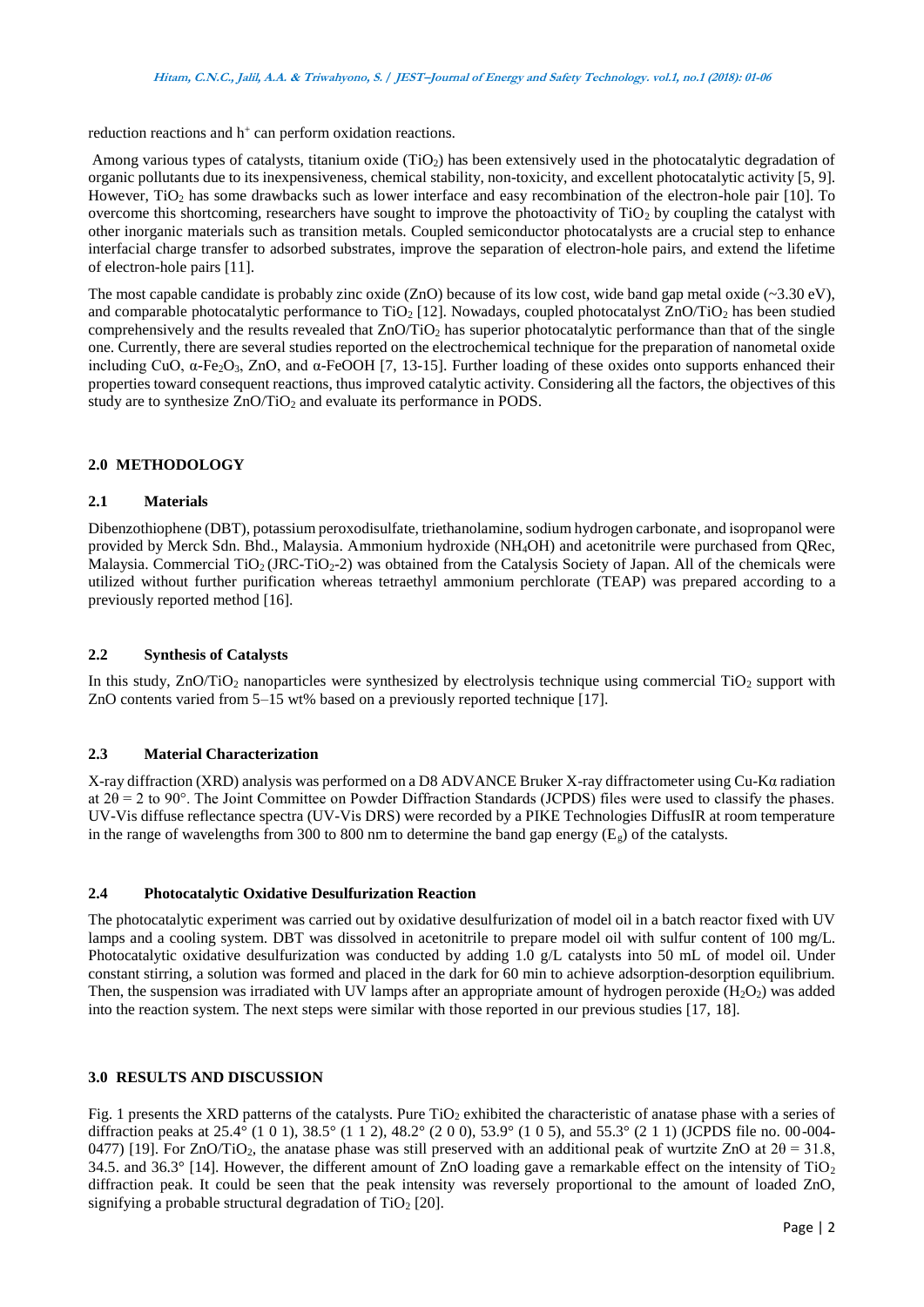reduction reactions and h<sup>+</sup> can perform oxidation reactions.

Among various types of catalysts, titanium oxide (TiO<sub>2</sub>) has been extensively used in the photocatalytic degradation of organic pollutants due to its inexpensiveness, chemical stability, non-toxicity, and excellent photocatalytic activity [5, 9]. However, TiO<sup>2</sup> has some drawbacks such as lower interface and easy recombination of the electron-hole pair [10]. To overcome this shortcoming, researchers have sought to improve the photoactivity of  $TiO<sub>2</sub>$  by coupling the catalyst with other inorganic materials such as transition metals. Coupled semiconductor photocatalysts are a crucial step to enhance interfacial charge transfer to adsorbed substrates, improve the separation of electron-hole pairs, and extend the lifetime of electron-hole pairs [11].

The most capable candidate is probably zinc oxide (ZnO) because of its low cost, wide band gap metal oxide (~3.30 eV), and comparable photocatalytic performance to TiO<sub>2</sub> [12]. Nowadays, coupled photocatalyst  $ZnO/TiO<sub>2</sub>$  has been studied comprehensively and the results revealed that  $ZnO/TiO<sub>2</sub>$  has superior photocatalytic performance than that of the single one. Currently, there are several studies reported on the electrochemical technique for the preparation of nanometal oxide including CuO,  $\alpha$ -Fe<sub>2</sub>O<sub>3</sub>, ZnO, and  $\alpha$ -FeOOH [7, 13-15]. Further loading of these oxides onto supports enhanced their properties toward consequent reactions, thus improved catalytic activity. Considering all the factors, the objectives of this study are to synthesize  $ZnO/TiO<sub>2</sub>$  and evaluate its performance in PODS.

## **2.0 METHODOLOGY**

# **2.1 Materials**

Dibenzothiophene (DBT), potassium peroxodisulfate, triethanolamine, sodium hydrogen carbonate, and isopropanol were provided by Merck Sdn. Bhd., Malaysia. Ammonium hydroxide (NH4OH) and acetonitrile were purchased from QRec, Malaysia. Commercial  $TiO<sub>2</sub> (JRC-TiO<sub>2</sub>-2)$  was obtained from the Catalysis Society of Japan. All of the chemicals were utilized without further purification whereas tetraethyl ammonium perchlorate (TEAP) was prepared according to a previously reported method [16].

# **2.2 Synthesis of Catalysts**

In this study,  $ZnO/TiO<sub>2</sub>$  nanoparticles were synthesized by electrolysis technique using commercial  $TiO<sub>2</sub>$  support with ZnO contents varied from 5–15 wt% based on a previously reported technique [17].

# **2.3 Material Characterization**

X-ray diffraction (XRD) analysis was performed on a D8 ADVANCE Bruker X-ray diffractometer using Cu-Kα radiation at  $2\theta = 2$  to 90°. The Joint Committee on Powder Diffraction Standards (JCPDS) files were used to classify the phases. UV-Vis diffuse reflectance spectra (UV-Vis DRS) were recorded by a PIKE Technologies DiffusIR at room temperature in the range of wavelengths from 300 to 800 nm to determine the band gap energy ( $E_g$ ) of the catalysts.

## **2.4 Photocatalytic Oxidative Desulfurization Reaction**

The photocatalytic experiment was carried out by oxidative desulfurization of model oil in a batch reactor fixed with UV lamps and a cooling system. DBT was dissolved in acetonitrile to prepare model oil with sulfur content of 100 mg/L. Photocatalytic oxidative desulfurization was conducted by adding 1.0 g/L catalysts into 50 mL of model oil. Under constant stirring, a solution was formed and placed in the dark for 60 min to achieve adsorption-desorption equilibrium. Then, the suspension was irradiated with UV lamps after an appropriate amount of hydrogen peroxide  $(H_2O_2)$  was added into the reaction system. The next steps were similar with those reported in our previous studies [17, 18].

## **3.0 RESULTS AND DISCUSSION**

Fig. 1 presents the XRD patterns of the catalysts. Pure  $TiO<sub>2</sub>$  exhibited the characteristic of anatase phase with a series of diffraction peaks at 25.4° (1 0 1), 38.5° (1 1 2), 48.2° (2 0 0), 53.9° (1 0 5), and 55.3° (2 1 1) (JCPDS file no. 00-004- 0477) [19]. For ZnO/TiO<sub>2</sub>, the anatase phase was still preserved with an additional peak of wurtzite ZnO at  $2\theta = 31.8$ , 34.5. and 36.3° [14]. However, the different amount of ZnO loading gave a remarkable effect on the intensity of TiO<sub>2</sub> diffraction peak. It could be seen that the peak intensity was reversely proportional to the amount of loaded ZnO, signifying a probable structural degradation of  $TiO<sub>2</sub>$  [20].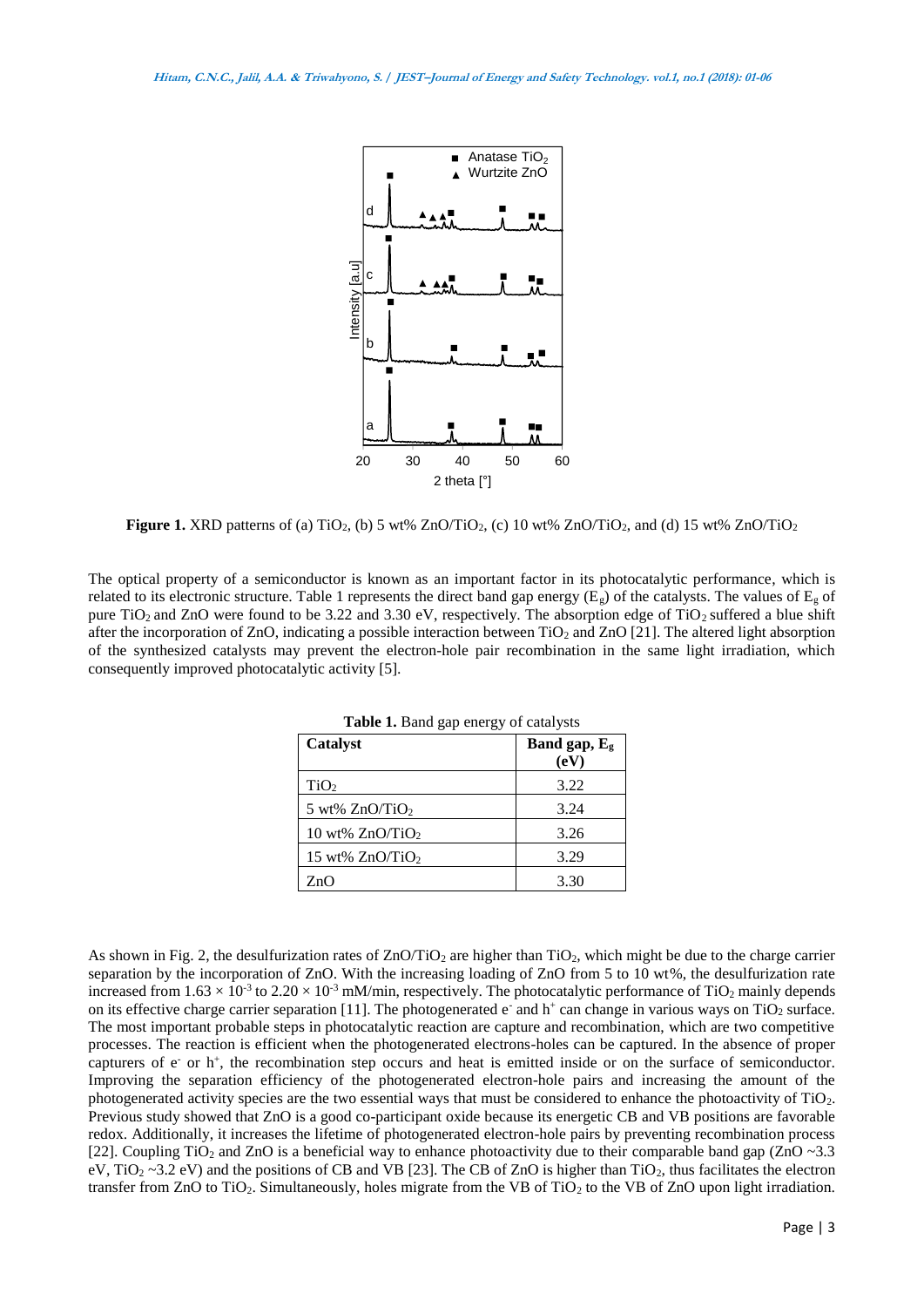

**Figure 1.** XRD patterns of (a)  $TiO<sub>2</sub>$ , (b) 5 wt% ZnO/TiO<sub>2</sub>, (c) 10 wt% ZnO/TiO<sub>2</sub>, and (d) 15 wt% ZnO/TiO<sub>2</sub>

The optical property of a semiconductor is known as an important factor in its photocatalytic performance, which is related to its electronic structure. Table 1 represents the direct band gap energy ( $E_g$ ) of the catalysts. The values of  $E_g$  of pure TiO<sub>2</sub> and ZnO were found to be 3.22 and 3.30 eV, respectively. The absorption edge of TiO<sub>2</sub> suffered a blue shift after the incorporation of  $ZnO$ , indicating a possible interaction between  $TiO<sub>2</sub>$  and  $ZnO$  [21]. The altered light absorption of the synthesized catalysts may prevent the electron-hole pair recombination in the same light irradiation, which consequently improved photocatalytic activity [5].

| <b>rapic 1.</b> Dang gap chergy of calarysis |                      |
|----------------------------------------------|----------------------|
| <b>Catalyst</b>                              | Band gap, Eg<br>(eV) |
| TiO <sub>2</sub>                             | 3.22                 |
| 5 wt% $ZnO/TiO2$                             | 3.24                 |
| 10 wt% $ZnO/TiO2$                            | 3.26                 |
| 15 wt% $ZnO/TiO2$                            | 3.29                 |
| ZnO                                          | 3.30                 |

**Table 1.** Band gap energy of catalysts

As shown in Fig. 2, the desulfurization rates of  $ZnO/TiO<sub>2</sub>$  are higher than TiO<sub>2</sub>, which might be due to the charge carrier separation by the incorporation of ZnO. With the increasing loading of ZnO from 5 to 10 wt%, the desulfurization rate increased from  $1.63 \times 10^{-3}$  to  $2.20 \times 10^{-3}$  mM/min, respectively. The photocatalytic performance of TiO<sub>2</sub> mainly depends on its effective charge carrier separation [11]. The photogenerated  $e^-$  and  $h^+$  can change in various ways on TiO<sub>2</sub> surface. The most important probable steps in photocatalytic reaction are capture and recombination, which are two competitive processes. The reaction is efficient when the photogenerated electrons-holes can be captured. In the absence of proper capturers of e<sup>-</sup> or h<sup>+</sup>, the recombination step occurs and heat is emitted inside or on the surface of semiconductor. Improving the separation efficiency of the photogenerated electron-hole pairs and increasing the amount of the photogenerated activity species are the two essential ways that must be considered to enhance the photoactivity of TiO2. Previous study showed that ZnO is a good co-participant oxide because its energetic CB and VB positions are favorable redox. Additionally, it increases the lifetime of photogenerated electron-hole pairs by preventing recombination process [22]. Coupling TiO<sub>2</sub> and ZnO is a beneficial way to enhance photoactivity due to their comparable band gap (ZnO ~3.3) eV, TiO<sub>2</sub> ~3.2 eV) and the positions of CB and VB [23]. The CB of ZnO is higher than TiO<sub>2</sub>, thus facilitates the electron transfer from ZnO to TiO2. Simultaneously, holes migrate from the VB of TiO<sup>2</sup> to the VB of ZnO upon light irradiation.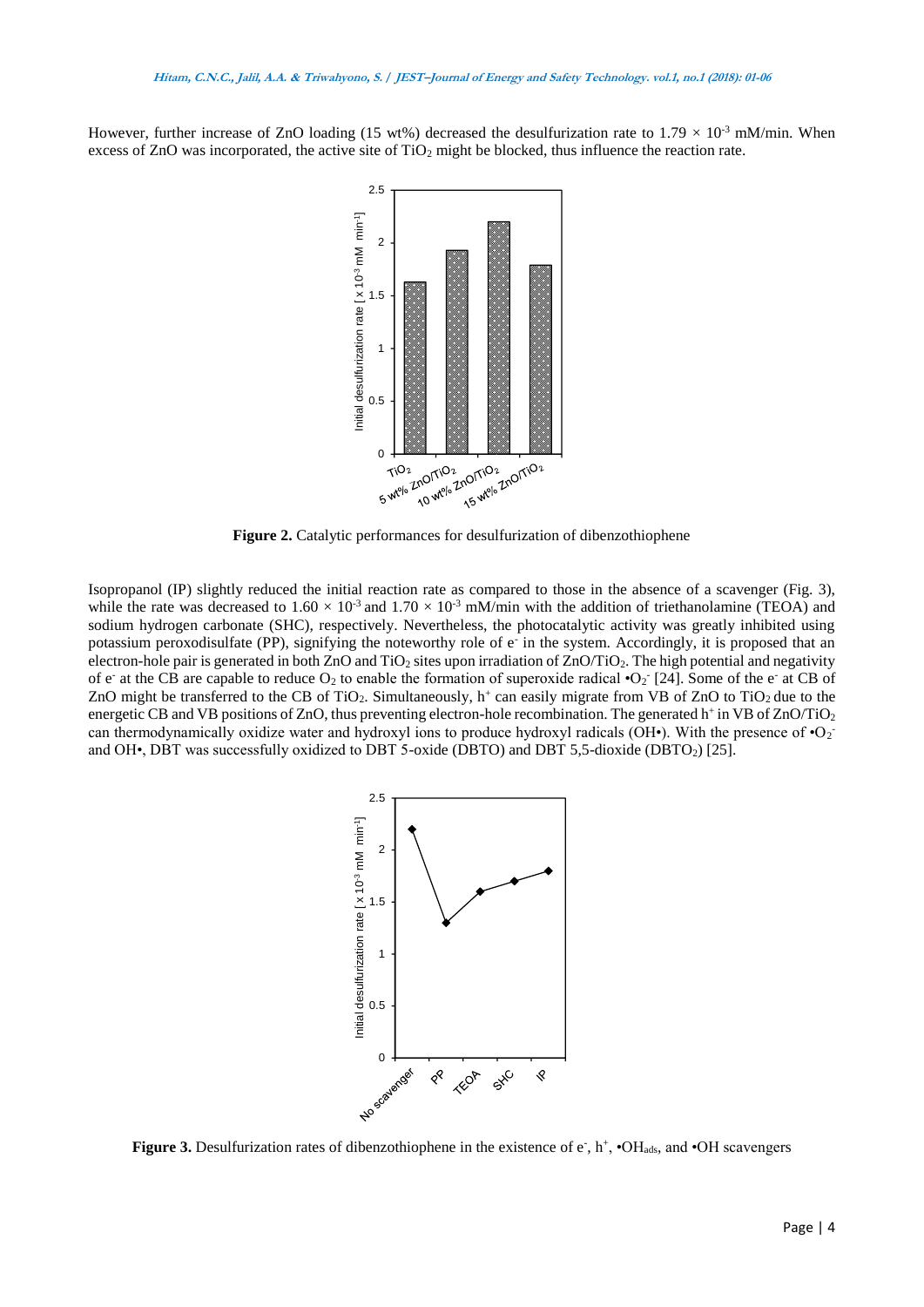However, further increase of ZnO loading (15 wt%) decreased the desulfurization rate to  $1.79 \times 10^{-3}$  mM/min. When excess of ZnO was incorporated, the active site of  $TiO<sub>2</sub>$  might be blocked, thus influence the reaction rate.



**Figure 2.** Catalytic performances for desulfurization of dibenzothiophene

Isopropanol (IP) slightly reduced the initial reaction rate as compared to those in the absence of a scavenger (Fig. 3), while the rate was decreased to  $1.60 \times 10^{-3}$  and  $1.70 \times 10^{-3}$  mM/min with the addition of triethanolamine (TEOA) and sodium hydrogen carbonate (SHC), respectively. Nevertheless, the photocatalytic activity was greatly inhibited using potassium peroxodisulfate (PP), signifying the noteworthy role of e in the system. Accordingly, it is proposed that an electron-hole pair is generated in both ZnO and TiO<sub>2</sub> sites upon irradiation of ZnO/TiO<sub>2</sub>. The high potential and negativity of e at the CB are capable to reduce  $O_2$  to enable the formation of superoxide radical  $O_2$  [24]. Some of the e at CB of ZnO might be transferred to the CB of TiO<sub>2</sub>. Simultaneously,  $h^+$  can easily migrate from VB of ZnO to TiO<sub>2</sub> due to the energetic CB and VB positions of ZnO, thus preventing electron-hole recombination. The generated  $h^+$  in VB of ZnO/TiO<sub>2</sub> can thermodynamically oxidize water and hydroxyl ions to produce hydroxyl radicals (OH•). With the presence of  $\cdot O_2$ and OH•, DBT was successfully oxidized to DBT 5-oxide (DBTO) and DBT 5,5-dioxide (DBTO<sub>2</sub>) [25].



Figure 3. Desulfurization rates of dibenzothiophene in the existence of e<sup>-</sup>, h<sup>+</sup>,  $\cdot$ OH<sub>ads</sub>, and  $\cdot$ OH scavengers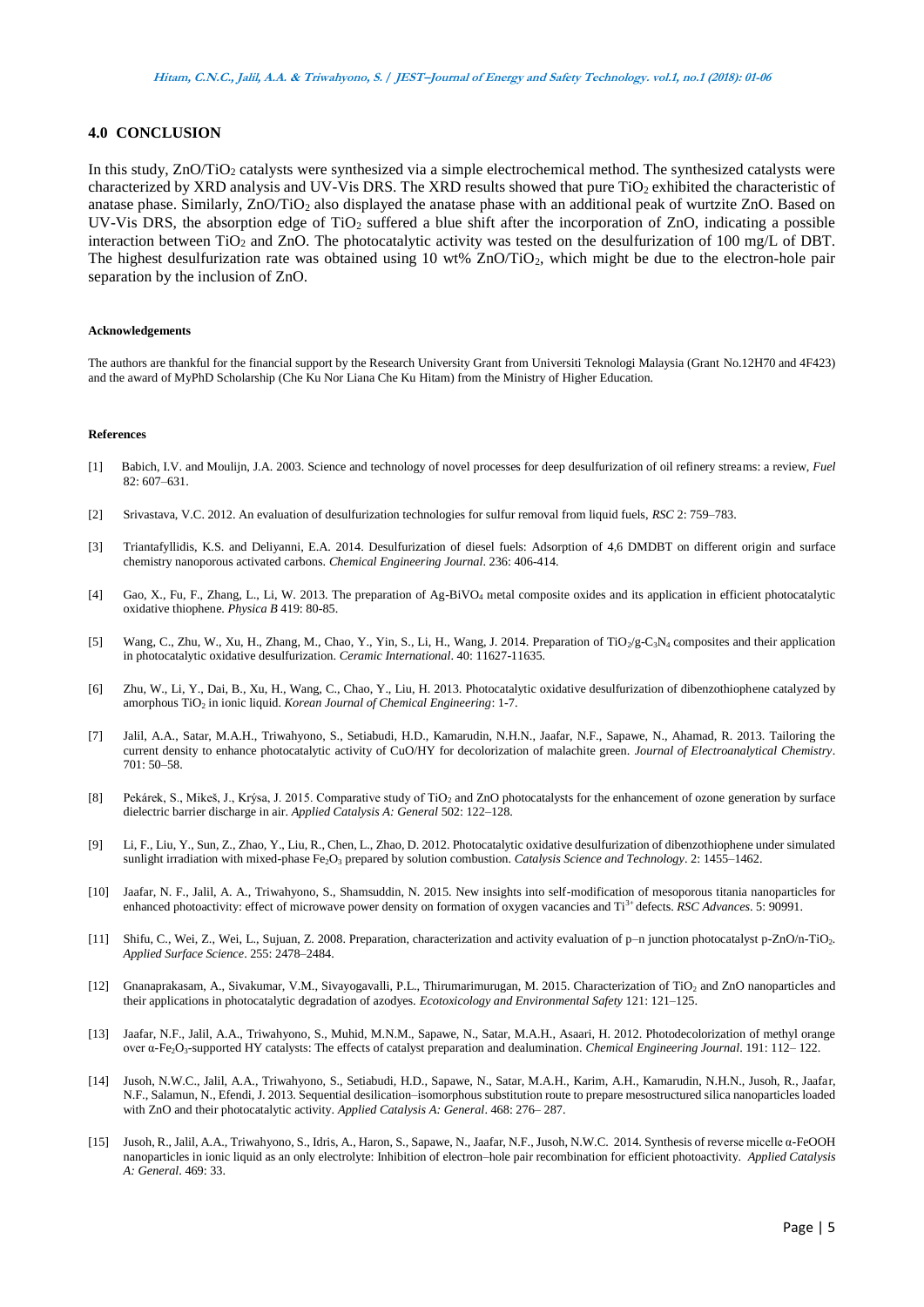## **4.0 CONCLUSION**

In this study, ZnO/TiO<sub>2</sub> catalysts were synthesized via a simple electrochemical method. The synthesized catalysts were characterized by XRD analysis and UV-Vis DRS. The XRD results showed that pure TiO<sub>2</sub> exhibited the characteristic of anatase phase. Similarly, ZnO/TiO<sup>2</sup> also displayed the anatase phase with an additional peak of wurtzite ZnO. Based on UV-Vis DRS, the absorption edge of TiO<sub>2</sub> suffered a blue shift after the incorporation of ZnO, indicating a possible interaction between TiO<sub>2</sub> and ZnO. The photocatalytic activity was tested on the desulfurization of 100 mg/L of DBT. The highest desulfurization rate was obtained using 10 wt%  $ZnO/TiO<sub>2</sub>$ , which might be due to the electron-hole pair separation by the inclusion of ZnO.

#### **Acknowledgements**

The authors are thankful for the financial support by the Research University Grant from Universiti Teknologi Malaysia (Grant No.12H70 and 4F423) and the award of MyPhD Scholarship (Che Ku Nor Liana Che Ku Hitam) from the Ministry of Higher Education.

#### **References**

- [1] Babich, I.V. and Moulijn, J.A. 2003. Science and technology of novel processes for deep desulfurization of oil refinery streams: a review, *Fuel*  82: 607–631.
- [2] Srivastava, V.C. 2012. An evaluation of desulfurization technologies for sulfur removal from liquid fuels, *RSC* 2: 759–783.
- [3] Triantafyllidis, K.S. and Deliyanni, E.A. 2014. Desulfurization of diesel fuels: Adsorption of 4,6 DMDBT on different origin and surface chemistry nanoporous activated carbons. *Chemical Engineering Journal*. 236: 406-414.
- [4] Gao, X., Fu, F., Zhang, L., Li, W. 2013. The preparation of Ag-BiVO<sup>4</sup> metal composite oxides and its application in efficient photocatalytic oxidative thiophene. *Physica B* 419: 80-85.
- [5] Wang, C., Zhu, W., Xu, H., Zhang, M., Chao, Y., Yin, S., Li, H., Wang, J. 2014. Preparation of TiO<sub>2</sub>/g-C<sub>3</sub>N<sub>4</sub> composites and their application in photocatalytic oxidative desulfurization. *Ceramic International*. 40: 11627-11635.
- [6] Zhu, W., Li, Y., Dai, B., Xu, H., Wang, C., Chao, Y., Liu, H. 2013. Photocatalytic oxidative desulfurization of dibenzothiophene catalyzed by amorphous TiO<sup>2</sup> in ionic liquid. *Korean Journal of Chemical Engineering*: 1-7.
- [7] Jalil, A.A., Satar, M.A.H., Triwahyono, S., Setiabudi, H.D., Kamarudin, N.H.N., Jaafar, N.F., Sapawe, N., Ahamad, R. 2013. Tailoring the current density to enhance photocatalytic activity of CuO/HY for decolorization of malachite green. *Journal of Electroanalytical Chemistry*. 701: 50–58.
- [8] Pekárek, S., Mikeš, J., Krýsa, J. 2015. Comparative study of TiO<sub>2</sub> and ZnO photocatalysts for the enhancement of ozone generation by surface dielectric barrier discharge in air. *Applied Catalysis A: General* 502: 122–128.
- [9] Li, F., Liu, Y., Sun, Z., Zhao, Y., Liu, R., Chen, L., Zhao, D. 2012. Photocatalytic oxidative desulfurization of dibenzothiophene under simulated sunlight irradiation with mixed-phase Fe<sub>2</sub>O<sub>3</sub> prepared by solution combustion. *Catalysis Science and Technology*. 2: 1455–1462.
- [10] Jaafar, N. F., Jalil, A. A., Triwahyono, S., Shamsuddin, N. 2015. New insights into self-modification of mesoporous titania nanoparticles for enhanced photoactivity: effect of microwave power density on formation of oxygen vacancies and Ti3+ defects. *RSC Advances*. 5: 90991.
- [11] Shifu, C., Wei, Z., Wei, L., Sujuan, Z. 2008. Preparation, characterization and activity evaluation of p–n junction photocatalyst p-ZnO/n-TiO2*. Applied Surface Science*. 255: 2478–2484.
- [12] Gnanaprakasam, A., Sivakumar, V.M., Sivayogavalli, P.L., Thirumarimurugan, M. 2015. Characterization of TiO<sup>2</sup> and ZnO nanoparticles and their applications in photocatalytic degradation of azodyes. *Ecotoxicology and Environmental Safety* 121: 121–125.
- [13] Jaafar, N.F., Jalil, A.A., Triwahyono, S., Muhid, M.N.M., Sapawe, N., Satar, M.A.H., Asaari, H. 2012. Photodecolorization of methyl orange over α-Fe2O3-supported HY catalysts: The effects of catalyst preparation and dealumination. *Chemical Engineering Journal*. 191: 112– 122.
- [14] Jusoh, N.W.C., Jalil, A.A., Triwahyono, S., Setiabudi, H.D., Sapawe, N., Satar, M.A.H., Karim, A.H., Kamarudin, N.H.N., Jusoh, R., Jaafar, N.F., Salamun, N., Efendi, J. 2013. Sequential desilication–isomorphous substitution route to prepare mesostructured silica nanoparticles loaded with ZnO and their photocatalytic activity. *Applied Catalysis A: General*. 468: 276– 287.
- [15] Jusoh, R., Jalil, A.A., Triwahyono, S., Idris, A., Haron, S., Sapawe, N., Jaafar, N.F., Jusoh, N.W.C. 2014. Synthesis of reverse micelle α-FeOOH nanoparticles in ionic liquid as an only electrolyte: Inhibition of electron–hole pair recombination for efficient photoactivity. *Applied Catalysis A: General*. 469: 33.